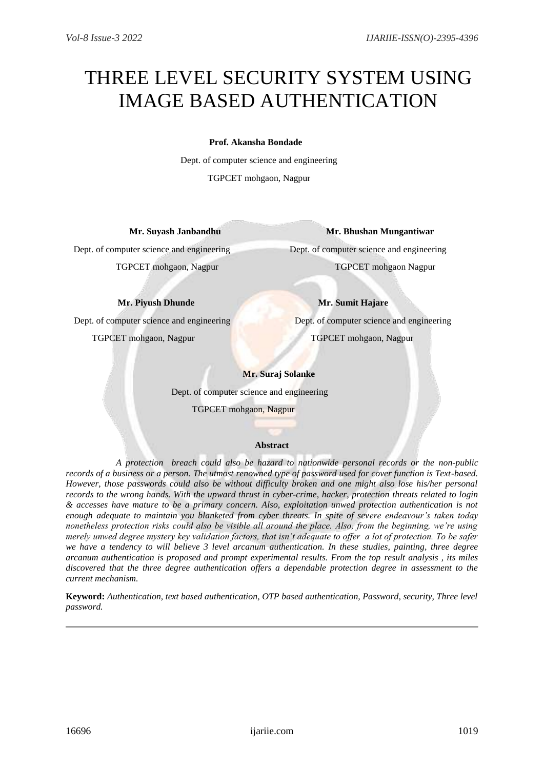# THREE LEVEL SECURITY SYSTEM USING IMAGE BASED AUTHENTICATION

# **Prof. Akansha Bondade**

Dept. of computer science and engineering TGPCET mohgaon, Nagpur

## **Mr. Suyash Janbandhu Mr. Bhushan Mungantiwar**

Dept. of computer science and engineering Dept. of computer science and engineering TGPCET mohgaon, Nagpur TGPCET mohgaon Nagpur

**Mr. Piyush Dhunde Mr. Sumit Hajare** 

Dept. of computer science and engineering Dept. of computer science and engineering TGPCET mohgaon, Nagpur TGPCET mohgaon, Nagpur

# **Mr. Suraj Solanke**

Dept. of computer science and engineering

TGPCET mohgaon, Nagpur

## **Abstract**

 *A protection breach could also be hazard to nationwide personal records or the non-public records of a business or a person. The utmost renowned type of password used for cover function is Text-based. However, those passwords could also be without difficulty broken and one might also lose his/her personal records to the wrong hands. With the upward thrust in cyber-crime, hacker, protection threats related to login & accesses have mature to be a primary concern. Also, exploitation unwed protection authentication is not enough adequate to maintain you blanketed from cyber threats. In spite of severe endeavour's taken today nonetheless protection risks could also be visible all around the place. Also, from the beginning, we're using merely unwed degree mystery key validation factors, that isn't adequate to offer a lot of protection. To be safer we have a tendency to will believe 3 level arcanum authentication. In these studies, painting, three degree arcanum authentication is proposed and prompt experimental results. From the top result analysis , its miles discovered that the three degree authentication offers a dependable protection degree in assessment to the current mechanism.*

**Keyword:** *Authentication, text based authentication, OTP based authentication, Password, security, Three level password.*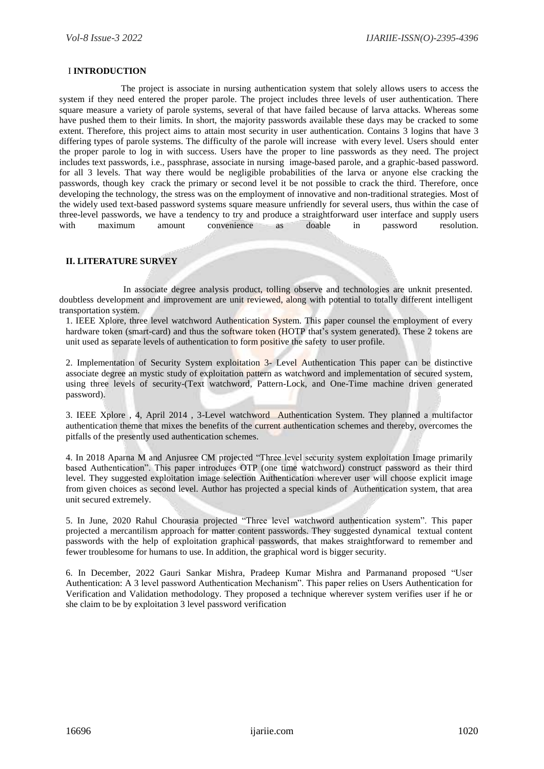#### I **INTRODUCTION**

 The project is associate in nursing authentication system that solely allows users to access the system if they need entered the proper parole. The project includes three levels of user authentication. There square measure a variety of parole systems, several of that have failed because of larva attacks. Whereas some have pushed them to their limits. In short, the majority passwords available these days may be cracked to some extent. Therefore, this project aims to attain most security in user authentication. Contains 3 logins that have 3 differing types of parole systems. The difficulty of the parole will increase with every level. Users should enter the proper parole to log in with success. Users have the proper to line passwords as they need. The project includes text passwords, i.e., passphrase, associate in nursing image-based parole, and a graphic-based password. for all 3 levels. That way there would be negligible probabilities of the larva or anyone else cracking the passwords, though key crack the primary or second level it be not possible to crack the third. Therefore, once developing the technology, the stress was on the employment of innovative and non-traditional strategies. Most of the widely used text-based password systems square measure unfriendly for several users, thus within the case of three-level passwords, we have a tendency to try and produce a straightforward user interface and supply users with maximum amount convenience as doable in password resolution.

#### **II. LITERATURE SURVEY**

 In associate degree analysis product, tolling observe and technologies are unknit presented. doubtless development and improvement are unit reviewed, along with potential to totally different intelligent transportation system.

1. IEEE Xplore, three level watchword Authentication System. This paper counsel the employment of every hardware token (smart-card) and thus the software token (HOTP that's system generated). These 2 tokens are unit used as separate levels of authentication to form positive the safety to user profile.

2. Implementation of Security System exploitation 3- Level Authentication This paper can be distinctive associate degree an mystic study of exploitation pattern as watchword and implementation of secured system, using three levels of security-(Text watchword, Pattern-Lock, and One-Time machine driven generated password).

3. IEEE Xplore , 4, April 2014 , 3-Level watchword Authentication System. They planned a multifactor authentication theme that mixes the benefits of the current authentication schemes and thereby, overcomes the pitfalls of the presently used authentication schemes.

4. In 2018 Aparna M and Anjusree CM projected "Three level security system exploitation Image primarily based Authentication". This paper introduces OTP (one time watchword) construct password as their third level. They suggested exploitation image selection Authentication wherever user will choose explicit image from given choices as second level. Author has projected a special kinds of Authentication system, that area unit secured extremely.

5. In June, 2020 Rahul Chourasia projected "Three level watchword authentication system". This paper projected a mercantilism approach for matter content passwords. They suggested dynamical textual content passwords with the help of exploitation graphical passwords, that makes straightforward to remember and fewer troublesome for humans to use. In addition, the graphical word is bigger security.

6. In December, 2022 Gauri Sankar Mishra, Pradeep Kumar Mishra and Parmanand proposed "User Authentication: A 3 level password Authentication Mechanism". This paper relies on Users Authentication for Verification and Validation methodology. They proposed a technique wherever system verifies user if he or she claim to be by exploitation 3 level password verification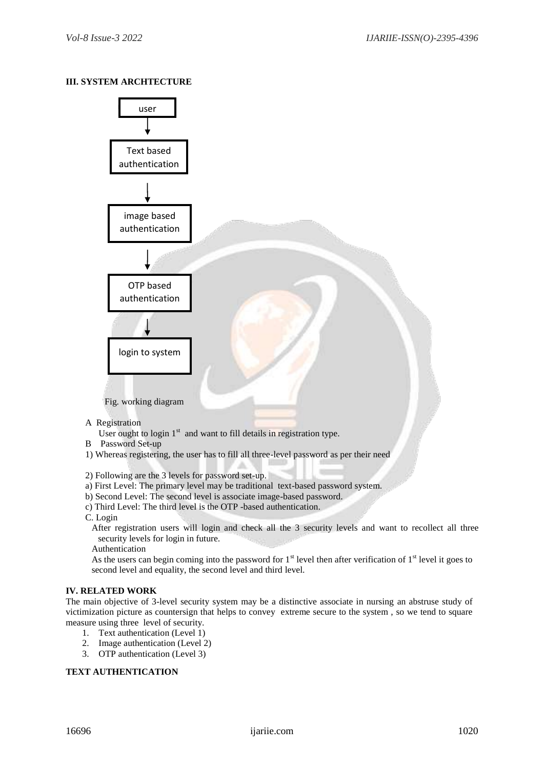# **III. SYSTEM ARCHTECTURE**



- A Registration
	- User ought to login  $1<sup>st</sup>$  and want to fill details in registration type.
- B Password Set-up
- 1) Whereas registering, the user has to fill all three-level password as per their need
- 2) Following are the 3 levels for password set-up.
- a) First Level: The primary level may be traditional text-based password system.
- b) Second Level: The second level is associate image-based password.
- c) Third Level: The third level is the OTP -based authentication.
- C. Login
	- After registration users will login and check all the 3 security levels and want to recollect all three security levels for login in future.
	- Authentication
	- As the users can begin coming into the password for  $1<sup>st</sup>$  level then after verification of  $1<sup>st</sup>$  level it goes to second level and equality, the second level and third level.

## **IV. RELATED WORK**

The main objective of 3-level security system may be a distinctive associate in nursing an abstruse study of victimization picture as countersign that helps to convey extreme secure to the system , so we tend to square measure using three level of security.

- 1. Text authentication (Level 1)
- 2. Image authentication (Level 2)
- 3. OTP authentication (Level 3)

# **TEXT AUTHENTICATION**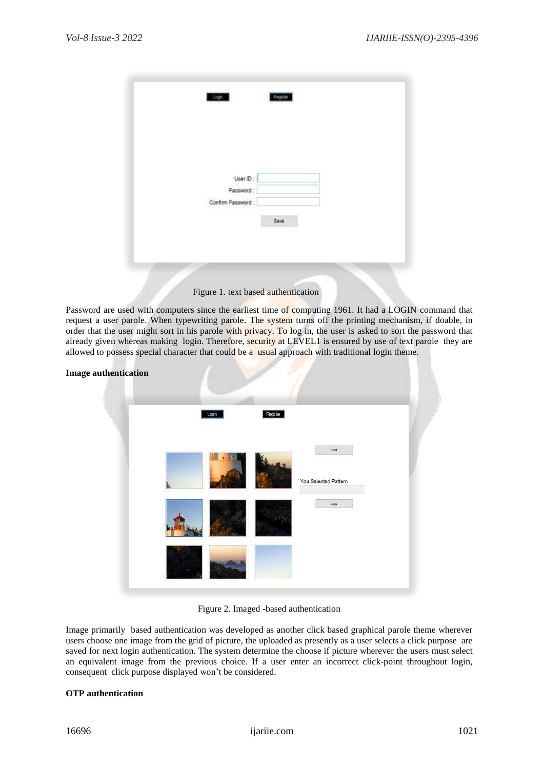| Logn                  | Register |  |  |
|-----------------------|----------|--|--|
|                       |          |  |  |
|                       |          |  |  |
| User ID:<br>Password: |          |  |  |
| Confirm Password:     |          |  |  |
|                       | Save     |  |  |
|                       |          |  |  |
|                       |          |  |  |
|                       |          |  |  |

Password are used with computers since the earliest time of computing 1961. It had a LOGIN command that request a user parole. When typewriting parole. The system turns off the printing mechanism, if doable, in order that the user might sort in his parole with privacy. To log in, the user is asked to sort the password that already given whereas making login. Therefore, security at LEVEL1 is ensured by use of text parole they are allowed to possess special character that could be a usual approach with traditional login theme.

| <b>Image authentication</b> |       |          |                      |  |
|-----------------------------|-------|----------|----------------------|--|
|                             | Login | Register |                      |  |
|                             |       |          | Feset                |  |
|                             |       |          | You Selected Pattern |  |
|                             |       |          | Login                |  |
|                             |       |          |                      |  |

## Figure 2. Imaged -based authentication

Image primarily based authentication was developed as another click based graphical parole theme wherever users choose one image from the grid of picture, the uploaded as presently as a user selects a click purpose are saved for next login authentication. The system determine the choose if picture wherever the users must select an equivalent image from the previous choice. If a user enter an incorrect click-point throughout login, consequent click purpose displayed won't be considered.

## **OTP authentication**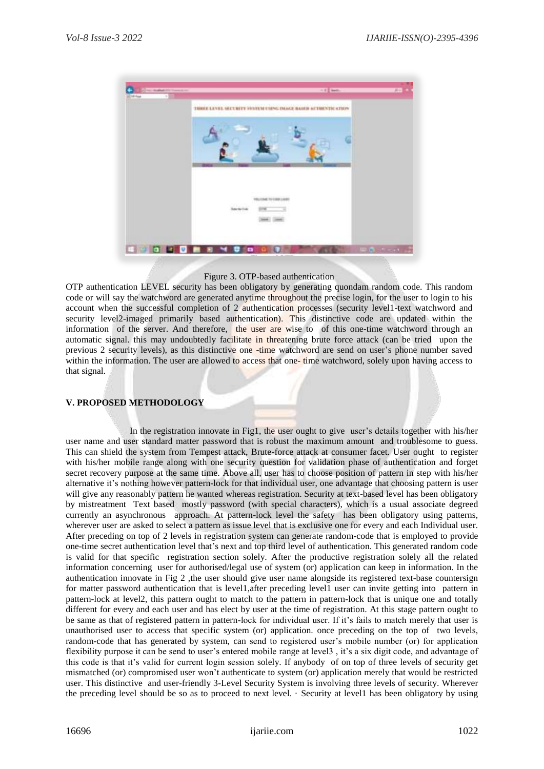

#### Figure 3. OTP-based authentication

OTP authentication LEVEL security has been obligatory by generating quondam random code. This random code or will say the watchword are generated anytime throughout the precise login, for the user to login to his account when the successful completion of 2 authentication processes (security level1-text watchword and security level2-imaged primarily based authentication). This distinctive code are updated within the information of the server. And therefore, the user are wise to of this one-time watchword through an automatic signal, this may undoubtedly facilitate in threatening brute force attack (can be tried upon the previous 2 security levels), as this distinctive one -time watchword are send on user's phone number saved within the information. The user are allowed to access that one- time watchword, solely upon having access to that signal.

## **V. PROPOSED METHODOLOGY**

 In the registration innovate in Fig1, the user ought to give user's details together with his/her user name and user standard matter password that is robust the maximum amount and troublesome to guess. This can shield the system from Tempest attack, Brute-force attack at consumer facet. User ought to register with his/her mobile range along with one security question for validation phase of authentication and forget secret recovery purpose at the same time. Above all, user has to choose position of pattern in step with his/her alternative it's nothing however pattern-lock for that individual user, one advantage that choosing pattern is user will give any reasonably pattern he wanted whereas registration. Security at text-based level has been obligatory by mistreatment Text based mostly password (with special characters), which is a usual associate degreed currently an asynchronous approach. At pattern-lock level the safety has been obligatory using patterns, wherever user are asked to select a pattern as issue level that is exclusive one for every and each Individual user. After preceding on top of 2 levels in registration system can generate random-code that is employed to provide one-time secret authentication level that's next and top third level of authentication. This generated random code is valid for that specific registration section solely. After the productive registration solely all the related information concerning user for authorised/legal use of system (or) application can keep in information. In the authentication innovate in Fig 2 ,the user should give user name alongside its registered text-base countersign for matter password authentication that is level1,after preceding level1 user can invite getting into pattern in pattern-lock at level2, this pattern ought to match to the pattern in pattern-lock that is unique one and totally different for every and each user and has elect by user at the time of registration. At this stage pattern ought to be same as that of registered pattern in pattern-lock for individual user. If it's fails to match merely that user is unauthorised user to access that specific system (or) application. once preceding on the top of two levels, random-code that has generated by system, can send to registered user's mobile number (or) for application flexibility purpose it can be send to user's entered mobile range at level3 , it's a six digit code, and advantage of this code is that it's valid for current login session solely. If anybody of on top of three levels of security get mismatched (or) compromised user won't authenticate to system (or) application merely that would be restricted user. This distinctive and user-friendly 3-Level Security System is involving three levels of security. Wherever the preceding level should be so as to proceed to next level. · Security at level1 has been obligatory by using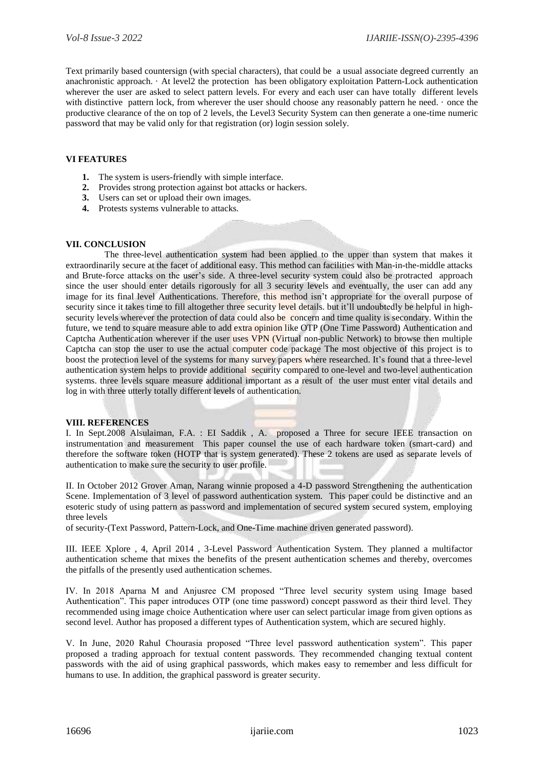Text primarily based countersign (with special characters), that could be a usual associate degreed currently an anachronistic approach. · At level2 the protection has been obligatory exploitation Pattern-Lock authentication wherever the user are asked to select pattern levels. For every and each user can have totally different levels with distinctive pattern lock, from wherever the user should choose any reasonably pattern he need.  $\cdot$  once the productive clearance of the on top of 2 levels, the Level3 Security System can then generate a one-time numeric password that may be valid only for that registration (or) login session solely.

## **VI FEATURES**

- **1.** The system is users-friendly with simple interface.
- **2.** Provides strong protection against bot attacks or hackers.
- **3.** Users can set or upload their own images.
- **4.** Protests systems vulnerable to attacks.

#### **VII. CONCLUSION**

The three-level authentication system had been applied to the upper than system that makes it extraordinarily secure at the facet of additional easy. This method can facilities with Man-in-the-middle attacks and Brute-force attacks on the user's side. A three-level security system could also be protracted approach since the user should enter details rigorously for all 3 security levels and eventually, the user can add any image for its final level Authentications. Therefore, this method isn't appropriate for the overall purpose of security since it takes time to fill altogether three security level details. but it'll undoubtedly be helpful in highsecurity levels wherever the protection of data could also be concern and time quality is secondary. Within the future, we tend to square measure able to add extra opinion like OTP (One Time Password) Authentication and Captcha Authentication wherever if the user uses VPN (Virtual non-public Network) to browse then multiple Captcha can stop the user to use the actual computer code package The most objective of this project is to boost the protection level of the systems for many survey papers where researched. It's found that a three-level authentication system helps to provide additional security compared to one-level and two-level authentication systems. three levels square measure additional important as a result of the user must enter vital details and log in with three utterly totally different levels of authentication.

## **VIII. REFERENCES**

I. In Sept.2008 Alsulaiman, F.A. : EI Saddik , A. proposed a Three for secure IEEE transaction on instrumentation and measurement This paper counsel the use of each hardware token (smart-card) and therefore the software token (HOTP that is system generated). These 2 tokens are used as separate levels of authentication to make sure the security to user profile.

II. In October 2012 Grover Aman, Narang winnie proposed a 4-D password Strengthening the authentication Scene. Implementation of 3 level of password authentication system. This paper could be distinctive and an esoteric study of using pattern as password and implementation of secured system secured system, employing three levels

of security-(Text Password, Pattern-Lock, and One-Time machine driven generated password).

III. IEEE Xplore , 4, April 2014 , 3-Level Password Authentication System. They planned a multifactor authentication scheme that mixes the benefits of the present authentication schemes and thereby, overcomes the pitfalls of the presently used authentication schemes.

IV. In 2018 Aparna M and Anjusree CM proposed "Three level security system using Image based Authentication". This paper introduces OTP (one time password) concept password as their third level. They recommended using image choice Authentication where user can select particular image from given options as second level. Author has proposed a different types of Authentication system, which are secured highly.

V. In June, 2020 Rahul Chourasia proposed "Three level password authentication system". This paper proposed a trading approach for textual content passwords. They recommended changing textual content passwords with the aid of using graphical passwords, which makes easy to remember and less difficult for humans to use. In addition, the graphical password is greater security.